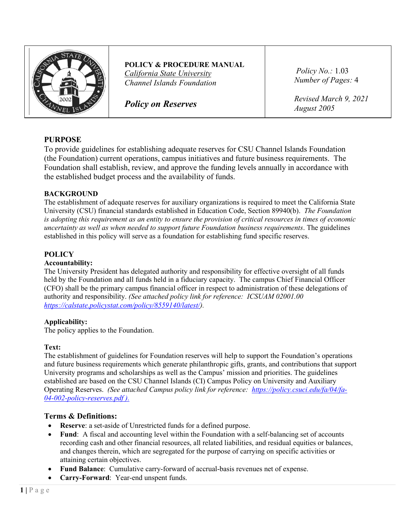

**POLICY & PROCEDURE MANUAL** *California State University Channel Islands Foundation*

*Policy on Reserves*

*Policy No.:* 1.03 *Number of Pages:* 4

*Revised March 9, 2021 August 2005*

# **PURPOSE**

To provide guidelines for establishing adequate reserves for CSU Channel Islands Foundation (the Foundation) current operations, campus initiatives and future business requirements. The Foundation shall establish, review, and approve the funding levels annually in accordance with the established budget process and the availability of funds.

# **BACKGROUND**

The establishment of adequate reserves for auxiliary organizations is required to meet the California State University (CSU) financial standards established in Education Code, Section 89940(b). *The Foundation is adopting this requirement as an entity to ensure the provision of critical resources in times of economic uncertainty as well as when needed to support future Foundation business requirements*. The guidelines established in this policy will serve as a foundation for establishing fund specific reserves.

# **POLICY**

#### **Accountability:**

The University President has delegated authority and responsibility for effective oversight of all funds held by the Foundation and all funds held in a fiduciary capacity. The campus Chief Financial Officer (CFO) shall be the primary campus financial officer in respect to administration of these delegations of authority and responsibility. *(See attached policy link for reference: ICSUAM 02001.00 [https://calstate.policystat.com/policy/8559140/latest/\)](https://calstate.policystat.com/policy/8559140/latest/).*

# **Applicability:**

The policy applies to the Foundation.

#### **Text:**

The establishment of guidelines for Foundation reserves will help to support the Foundation's operations and future business requirements which generate philanthropic gifts, grants, and contributions that support University programs and scholarships as well as the Campus' mission and priorities. The guidelines established are based on the CSU Channel Islands (CI) Campus Policy on University and Auxiliary Operating Reserves. *(See attached Campus policy link for reference: [https://policy.csuci.edu/fa/04/fa-](https://policy.csuci.edu/fa/04/fa-04-002-policy-reserves.pdf)[04-002-policy-reserves.pdf](https://policy.csuci.edu/fa/04/fa-04-002-policy-reserves.pdf) ).*

# **Terms & Definitions:**

- **Reserve**: a set-aside of Unrestricted funds for a defined purpose.
- **Fund**: A fiscal and accounting level within the Foundation with a self-balancing set of accounts recording cash and other financial resources, all related liabilities, and residual equities or balances, and changes therein, which are segregated for the purpose of carrying on specific activities or attaining certain objectives.
- **Fund Balance**: Cumulative carry-forward of accrual-basis revenues net of expense.
- **Carry-Forward**: Year-end unspent funds.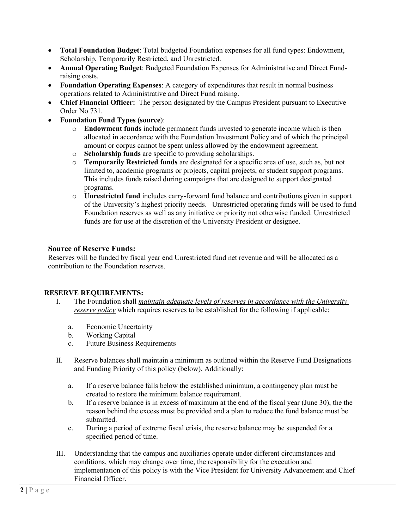- **Total Foundation Budget**: Total budgeted Foundation expenses for all fund types: Endowment, Scholarship, Temporarily Restricted, and Unrestricted.
- **Annual Operating Budget**: Budgeted Foundation Expenses for Administrative and Direct Fundraising costs.
- **Foundation Operating Expenses**: A category of expenditures that result in normal business operations related to Administrative and Direct Fund raising.
- **Chief Financial Officer:** The person designated by the Campus President pursuant to Executive Order No 731.
- **Foundation Fund Types (source**):
	- o **Endowment funds** include permanent funds invested to generate income which is then allocated in accordance with the Foundation Investment Policy and of which the principal amount or corpus cannot be spent unless allowed by the endowment agreement.
	- o **Scholarship funds** are specific to providing scholarships.
	- o **Temporarily Restricted funds** are designated for a specific area of use, such as, but not limited to, academic programs or projects, capital projects, or student support programs. This includes funds raised during campaigns that are designed to support designated programs.
	- o **Unrestricted fund** includes carry-forward fund balance and contributions given in support of the University's highest priority needs. Unrestricted operating funds will be used to fund Foundation reserves as well as any initiative or priority not otherwise funded. Unrestricted funds are for use at the discretion of the University President or designee.

# **Source of Reserve Funds:**

Reserves will be funded by fiscal year end Unrestricted fund net revenue and will be allocated as a contribution to the Foundation reserves.

# **RESERVE REQUIREMENTS:**

- I. The Foundation shall *maintain adequate levels of reserves in accordance with the University reserve policy* which requires reserves to be established for the following if applicable:
	- a. Economic Uncertainty
	- b. Working Capital
	- c. Future Business Requirements
- II. Reserve balances shall maintain a minimum as outlined within the Reserve Fund Designations and Funding Priority of this policy (below). Additionally:
	- a. If a reserve balance falls below the established minimum, a contingency plan must be created to restore the minimum balance requirement.
	- b. If a reserve balance is in excess of maximum at the end of the fiscal year (June 30), the the reason behind the excess must be provided and a plan to reduce the fund balance must be submitted.
	- c. During a period of extreme fiscal crisis, the reserve balance may be suspended for a specified period of time.
- III. Understanding that the campus and auxiliaries operate under different circumstances and conditions, which may change over time, the responsibility for the execution and implementation of this policy is with the Vice President for University Advancement and Chief Financial Officer.